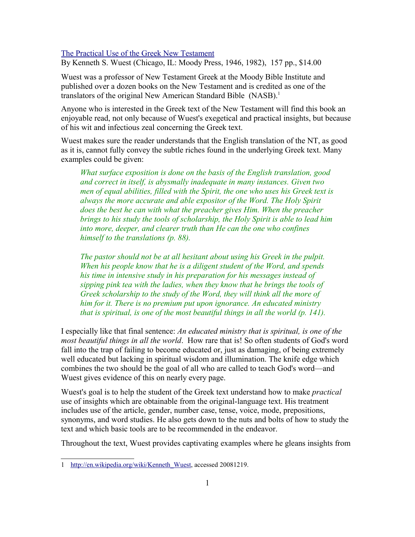## [The Practical Use of the Greek New Testament](http://www.bestbookdeal.com/book/compare/0802467377)

By Kenneth S. Wuest (Chicago, IL: Moody Press, 1946, 1982), 157 pp., \$14.00

Wuest was a professor of New Testament Greek at the Moody Bible Institute and published over a dozen books on the New Testament and is credited as one of the translators of the original New American Standard Bible (NASB).<sup>[1](#page-0-0)</sup>

Anyone who is interested in the Greek text of the New Testament will find this book an enjoyable read, not only because of Wuest's exegetical and practical insights, but because of his wit and infectious zeal concerning the Greek text.

Wuest makes sure the reader understands that the English translation of the NT, as good as it is, cannot fully convey the subtle riches found in the underlying Greek text. Many examples could be given:

*What surface exposition is done on the basis of the English translation, good and correct in itself, is abysmally inadequate in many instances. Given two men of equal abilities, filled with the Spirit, the one who uses his Greek text is always the more accurate and able expositor of the Word. The Holy Spirit does the best he can with what the preacher gives Him. When the preacher brings to his study the tools of scholarship, the Holy Spirit is able to lead him into more, deeper, and clearer truth than He can the one who confines himself to the translations (p. 88).*

*The pastor should not be at all hesitant about using his Greek in the pulpit. When his people know that he is a diligent student of the Word, and spends his time in intensive study in his preparation for his messages instead of sipping pink tea with the ladies, when they know that he brings the tools of Greek scholarship to the study of the Word, they will think all the more of him for it. There is no premium put upon ignorance. An educated ministry that is spiritual, is one of the most beautiful things in all the world (p. 141).*

I especially like that final sentence: *An educated ministry that is spiritual, is one of the most beautiful things in all the world*. How rare that is! So often students of God's word fall into the trap of failing to become educated or, just as damaging, of being extremely well educated but lacking in spiritual wisdom and illumination. The knife edge which combines the two should be the goal of all who are called to teach God's word—and Wuest gives evidence of this on nearly every page.

Wuest's goal is to help the student of the Greek text understand how to make *practical* use of insights which are obtainable from the original-language text. His treatment includes use of the article, gender, number case, tense, voice, mode, prepositions, synonyms, and word studies. He also gets down to the nuts and bolts of how to study the text and which basic tools are to be recommended in the endeavor.

Throughout the text, Wuest provides captivating examples where he gleans insights from

<span id="page-0-0"></span><sup>1</sup> [http://en.wikipedia.org/wiki/Kenneth\\_Wuest,](http://en.wikipedia.org/wiki/Kenneth_Wuest) accessed 20081219.